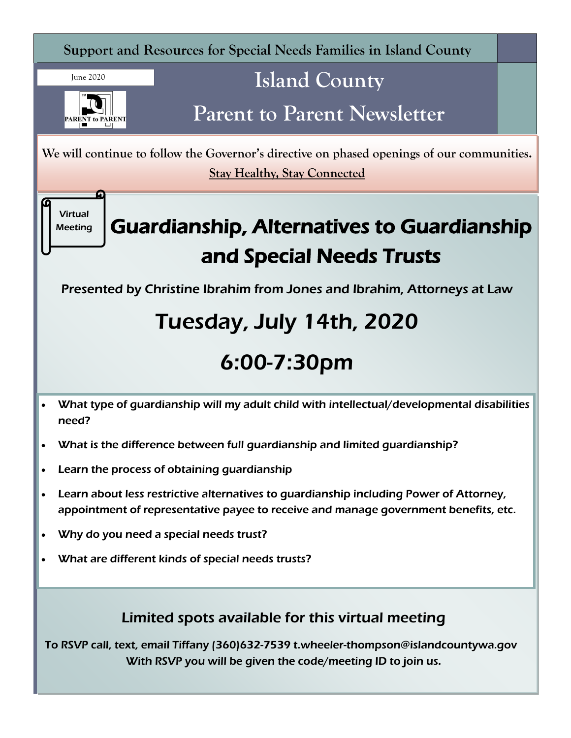